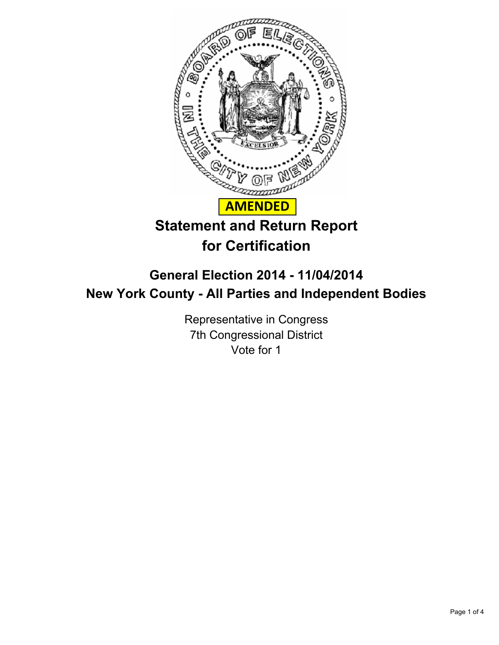

# **General Election 2014 - 11/04/2014 New York County - All Parties and Independent Bodies**

Representative in Congress 7th Congressional District Vote for 1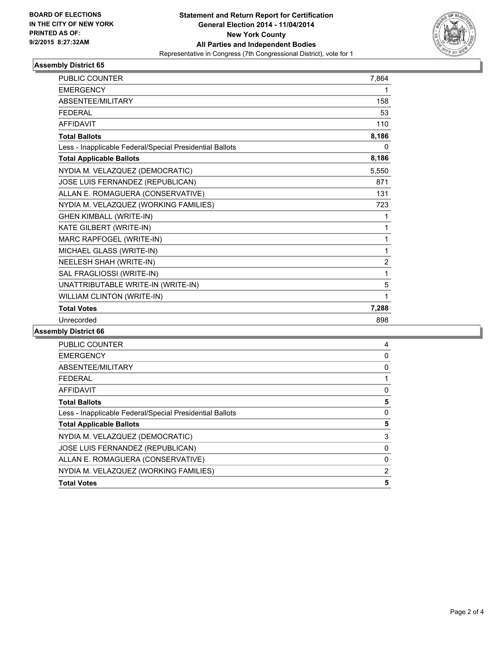

## **Assembly District 65**

| <b>PUBLIC COUNTER</b>                                    | 7,864          |
|----------------------------------------------------------|----------------|
| <b>EMERGENCY</b>                                         | 1              |
| <b>ABSENTEE/MILITARY</b>                                 | 158            |
| <b>FEDERAL</b>                                           | 53             |
| <b>AFFIDAVIT</b>                                         | 110            |
| <b>Total Ballots</b>                                     | 8,186          |
| Less - Inapplicable Federal/Special Presidential Ballots | 0              |
| <b>Total Applicable Ballots</b>                          | 8,186          |
| NYDIA M. VELAZQUEZ (DEMOCRATIC)                          | 5,550          |
| JOSE LUIS FERNANDEZ (REPUBLICAN)                         | 871            |
| ALLAN E. ROMAGUERA (CONSERVATIVE)                        | 131            |
| NYDIA M. VELAZQUEZ (WORKING FAMILIES)                    | 723            |
| <b>GHEN KIMBALL (WRITE-IN)</b>                           | 1              |
| KATE GILBERT (WRITE-IN)                                  | 1              |
| MARC RAPFOGEL (WRITE-IN)                                 | 1              |
| MICHAEL GLASS (WRITE-IN)                                 | 1              |
| NEELESH SHAH (WRITE-IN)                                  | $\overline{2}$ |
| SAL FRAGLIOSSI (WRITE-IN)                                | 1              |
| UNATTRIBUTABLE WRITE-IN (WRITE-IN)                       | 5              |
| <b>WILLIAM CLINTON (WRITE-IN)</b>                        | 1              |
| <b>Total Votes</b>                                       | 7,288          |
| Unrecorded                                               | 898            |

#### **Assembly District 66**

| <b>PUBLIC COUNTER</b>                                    | 4              |
|----------------------------------------------------------|----------------|
| <b>EMERGENCY</b>                                         | 0              |
| ABSENTEE/MILITARY                                        | 0              |
| <b>FEDERAL</b>                                           |                |
| AFFIDAVIT                                                | 0              |
| <b>Total Ballots</b>                                     | 5              |
| Less - Inapplicable Federal/Special Presidential Ballots | 0              |
| <b>Total Applicable Ballots</b>                          | 5              |
| NYDIA M. VELAZQUEZ (DEMOCRATIC)                          | 3              |
| <b>JOSE LUIS FERNANDEZ (REPUBLICAN)</b>                  | 0              |
| ALLAN E. ROMAGUERA (CONSERVATIVE)                        | 0              |
| NYDIA M. VELAZQUEZ (WORKING FAMILIES)                    | $\overline{2}$ |
| <b>Total Votes</b>                                       | 5              |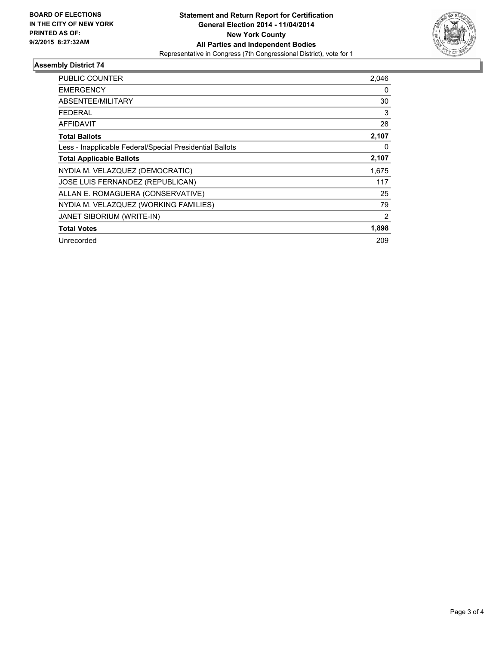

## **Assembly District 74**

| PUBLIC COUNTER                                           | 2,046          |
|----------------------------------------------------------|----------------|
| <b>EMERGENCY</b>                                         | 0              |
| <b>ABSENTEE/MILITARY</b>                                 | 30             |
| FEDERAL                                                  | 3              |
| <b>AFFIDAVIT</b>                                         | 28             |
| <b>Total Ballots</b>                                     | 2,107          |
| Less - Inapplicable Federal/Special Presidential Ballots | 0              |
| <b>Total Applicable Ballots</b>                          | 2,107          |
| NYDIA M. VELAZQUEZ (DEMOCRATIC)                          | 1,675          |
| JOSE LUIS FERNANDEZ (REPUBLICAN)                         | 117            |
| ALLAN E. ROMAGUERA (CONSERVATIVE)                        | 25             |
| NYDIA M. VELAZQUEZ (WORKING FAMILIES)                    | 79             |
| JANET SIBORIUM (WRITE-IN)                                | $\overline{2}$ |
| <b>Total Votes</b>                                       | 1,898          |
| Unrecorded                                               | 209            |